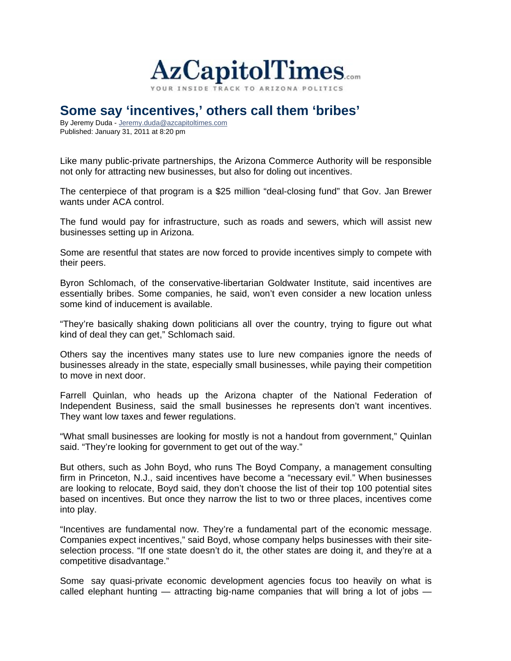

## **Some say 'incentives,' others call them 'bribes'**

By Jeremy Duda - Jeremy.duda@azcapitoltimes.com Published: January 31, 2011 at 8:20 pm

Like many public-private partnerships, the Arizona Commerce Authority will be responsible not only for attracting new businesses, but also for doling out incentives.

The centerpiece of that program is a \$25 million "deal-closing fund" that Gov. Jan Brewer wants under ACA control.

The fund would pay for infrastructure, such as roads and sewers, which will assist new businesses setting up in Arizona.

Some are resentful that states are now forced to provide incentives simply to compete with their peers.

Byron Schlomach, of the conservative-libertarian Goldwater Institute, said incentives are essentially bribes. Some companies, he said, won't even consider a new location unless some kind of inducement is available.

"They're basically shaking down politicians all over the country, trying to figure out what kind of deal they can get," Schlomach said.

Others say the incentives many states use to lure new companies ignore the needs of businesses already in the state, especially small businesses, while paying their competition to move in next door.

Farrell Quinlan, who heads up the Arizona chapter of the National Federation of Independent Business, said the small businesses he represents don't want incentives. They want low taxes and fewer regulations.

"What small businesses are looking for mostly is not a handout from government," Quinlan said. "They're looking for government to get out of the way."

But others, such as John Boyd, who runs The Boyd Company, a management consulting firm in Princeton, N.J., said incentives have become a "necessary evil." When businesses are looking to relocate, Boyd said, they don't choose the list of their top 100 potential sites based on incentives. But once they narrow the list to two or three places, incentives come into play.

"Incentives are fundamental now. They're a fundamental part of the economic message. Companies expect incentives," said Boyd, whose company helps businesses with their siteselection process. "If one state doesn't do it, the other states are doing it, and they're at a competitive disadvantage."

Some say quasi-private economic development agencies focus too heavily on what is called elephant hunting  $-$  attracting big-name companies that will bring a lot of jobs  $-$